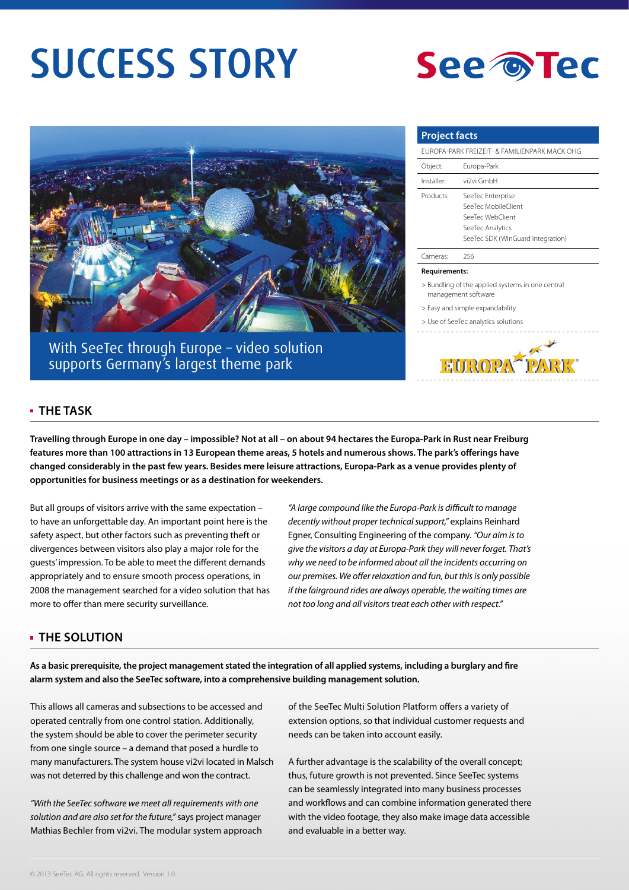# SUCCESS STORY





With SeeTec through Europe – video solution supports Germany's largest theme park

## **Project facts** Europa-Park Freizeit- & Familienpark Mack OHG Object: Europa-Park Installer: vi2vi GmbH Products: SeeTec Enterprise SeeTec MobileClient SeeTec WebClient SeeTec Analytics SeeTec SDK (WinGuard integration)

#### Cameras: 256

#### **Requirements:**

> Bundling of the applied systems in one central management software

> Easy and simple expandability

> Use of SeeTec analytics solutions



## **The Task**

**Travelling through Europe in one day – impossible? Not at all – on about 94 hectares the Europa-Park in Rust near Freiburg features more than 100 attractions in 13 European theme areas, 5 hotels and numerous shows. The park's offerings have changed considerably in the past few years. Besides mere leisure attractions, Europa-Park as a venue provides plenty of opportunities for business meetings or as a destination for weekenders.**

But all groups of visitors arrive with the same expectation – to have an unforgettable day. An important point here is the safety aspect, but other factors such as preventing theft or divergences between visitors also play a major role for the guests' impression. To be able to meet the different demands appropriately and to ensure smooth process operations, in 2008 the management searched for a video solution that has more to offer than mere security surveillance.

*"A large compound like the Europa-Park is difficult to manage decently without proper technical support,"* explains Reinhard Egner, Consulting Engineering of the company. *"Our aim is to give the visitors a day at Europa-Park they will never forget. That's why we need to be informed about all the incidents occurring on our premises. We offer relaxation and fun, but this is only possible if the fairground rides are always operable, the waiting times are not too long and all visitors treat each other with respect."*

### **THE Solution**

**As a basic prerequisite, the project management stated the integration of all applied systems, including a burglary and fire alarm system and also the SeeTec software, into a comprehensive building management solution.** 

This allows all cameras and subsections to be accessed and operated centrally from one control station. Additionally, the system should be able to cover the perimeter security from one single source – a demand that posed a hurdle to many manufacturers. The system house vi2vi located in Malsch was not deterred by this challenge and won the contract.

*"With the SeeTec software we meet all requirements with one solution and are also set for the future,"* says project manager Mathias Bechler from vi2vi. The modular system approach of the SeeTec Multi Solution Platform offers a variety of extension options, so that individual customer requests and needs can be taken into account easily.

A further advantage is the scalability of the overall concept; thus, future growth is not prevented. Since SeeTec systems can be seamlessly integrated into many business processes and workflows and can combine information generated there with the video footage, they also make image data accessible and evaluable in a better way.